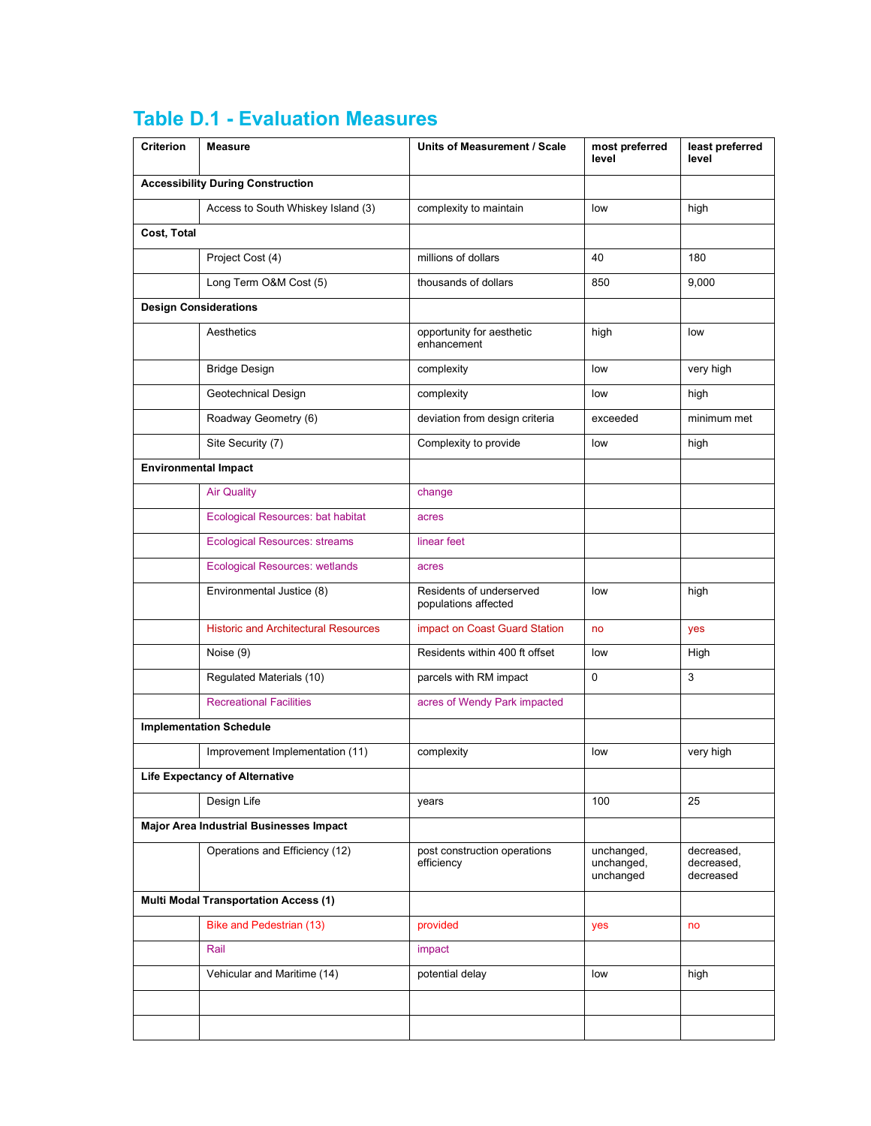| Criterion   | <b>Measure</b>                               | Units of Measurement / Scale                     | most preferred<br>level               | least preferred<br>level              |
|-------------|----------------------------------------------|--------------------------------------------------|---------------------------------------|---------------------------------------|
|             | <b>Accessibility During Construction</b>     |                                                  |                                       |                                       |
|             | Access to South Whiskey Island (3)           | complexity to maintain                           | low                                   | high                                  |
| Cost, Total |                                              |                                                  |                                       |                                       |
|             | Project Cost (4)                             | millions of dollars                              | 40                                    | 180                                   |
|             | Long Term O&M Cost (5)                       | thousands of dollars                             | 850                                   | 9,000                                 |
|             | <b>Design Considerations</b>                 |                                                  |                                       |                                       |
|             | Aesthetics                                   | opportunity for aesthetic<br>enhancement         | high                                  | low                                   |
|             | <b>Bridge Design</b>                         | complexity                                       | low                                   | very high                             |
|             | Geotechnical Design                          | complexity                                       | low                                   | high                                  |
|             | Roadway Geometry (6)                         | deviation from design criteria                   | exceeded                              | minimum met                           |
|             | Site Security (7)                            | Complexity to provide                            | low                                   | high                                  |
|             | <b>Environmental Impact</b>                  |                                                  |                                       |                                       |
|             | <b>Air Quality</b>                           | change                                           |                                       |                                       |
|             | <b>Ecological Resources: bat habitat</b>     | acres                                            |                                       |                                       |
|             | <b>Ecological Resources: streams</b>         | linear feet                                      |                                       |                                       |
|             | <b>Ecological Resources: wetlands</b>        | acres                                            |                                       |                                       |
|             | Environmental Justice (8)                    | Residents of underserved<br>populations affected | low                                   | high                                  |
|             | <b>Historic and Architectural Resources</b>  | impact on Coast Guard Station                    | no                                    | yes                                   |
|             | Noise (9)                                    | Residents within 400 ft offset                   | low                                   | High                                  |
|             | Regulated Materials (10)                     | parcels with RM impact                           | 0                                     | 3                                     |
|             | <b>Recreational Facilities</b>               | acres of Wendy Park impacted                     |                                       |                                       |
|             | <b>Implementation Schedule</b>               |                                                  |                                       |                                       |
|             | Improvement Implementation (11)              | complexity                                       | low                                   | very high                             |
|             | <b>Life Expectancy of Alternative</b>        |                                                  |                                       |                                       |
|             | Design Life                                  | years                                            | 100                                   | 25                                    |
|             | Major Area Industrial Businesses Impact      |                                                  |                                       |                                       |
|             | Operations and Efficiency (12)               | post construction operations<br>efficiency       | unchanged,<br>unchanged,<br>unchanged | decreased,<br>decreased,<br>decreased |
|             | <b>Multi Modal Transportation Access (1)</b> |                                                  |                                       |                                       |
|             | <b>Bike and Pedestrian (13)</b>              | provided                                         | yes                                   | no                                    |
|             | Rail                                         | impact                                           |                                       |                                       |
|             | Vehicular and Maritime (14)                  | potential delay                                  | low                                   | high                                  |
|             |                                              |                                                  |                                       |                                       |
|             |                                              |                                                  |                                       |                                       |

# **Table D.1 - Evaluation Measures**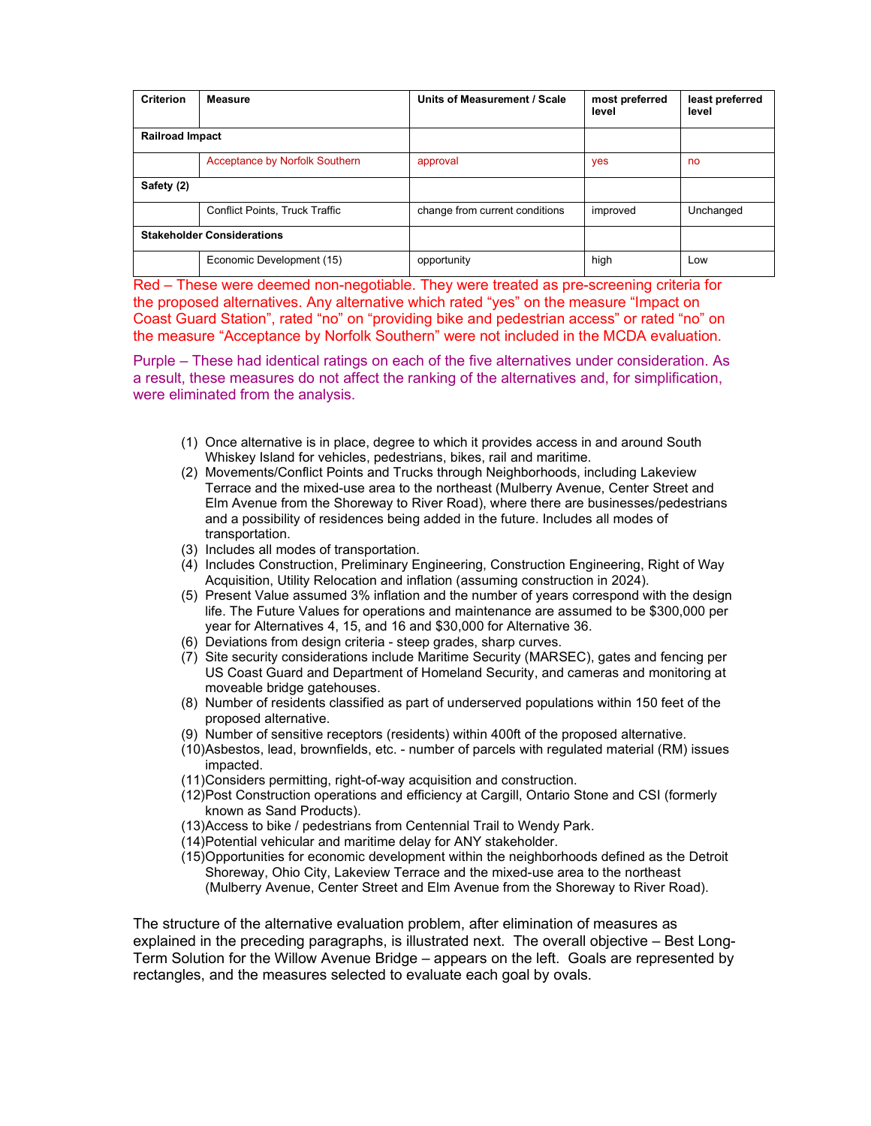| <b>Criterion</b>                  | <b>Measure</b>                        | Units of Measurement / Scale   | most preferred<br>level | least preferred<br>level |
|-----------------------------------|---------------------------------------|--------------------------------|-------------------------|--------------------------|
| <b>Railroad Impact</b>            |                                       |                                |                         |                          |
|                                   | Acceptance by Norfolk Southern        | approval                       | yes                     | no                       |
| Safety (2)                        |                                       |                                |                         |                          |
|                                   | <b>Conflict Points, Truck Traffic</b> | change from current conditions | improved                | Unchanged                |
| <b>Stakeholder Considerations</b> |                                       |                                |                         |                          |
|                                   | Economic Development (15)             | opportunity                    | high                    | Low                      |

Red – These were deemed non-negotiable. They were treated as pre-screening criteria for the proposed alternatives. Any alternative which rated "yes" on the measure "Impact on Coast Guard Station", rated "no" on "providing bike and pedestrian access" or rated "no" on the measure "Acceptance by Norfolk Southern" were not included in the MCDA evaluation.

Purple – These had identical ratings on each of the five alternatives under consideration. As a result, these measures do not affect the ranking of the alternatives and, for simplification, were eliminated from the analysis.

- (1) Once alternative is in place, degree to which it provides access in and around South Whiskey Island for vehicles, pedestrians, bikes, rail and maritime.
- (2) Movements/Conflict Points and Trucks through Neighborhoods, including Lakeview Terrace and the mixed-use area to the northeast (Mulberry Avenue, Center Street and Elm Avenue from the Shoreway to River Road), where there are businesses/pedestrians and a possibility of residences being added in the future. Includes all modes of transportation.
- (3) Includes all modes of transportation.
- (4) Includes Construction, Preliminary Engineering, Construction Engineering, Right of Way Acquisition, Utility Relocation and inflation (assuming construction in 2024).
- (5) Present Value assumed 3% inflation and the number of years correspond with the design life. The Future Values for operations and maintenance are assumed to be \$300,000 per year for Alternatives 4, 15, and 16 and \$30,000 for Alternative 36.
- (6) Deviations from design criteria steep grades, sharp curves.
- (7) Site security considerations include Maritime Security (MARSEC), gates and fencing per US Coast Guard and Department of Homeland Security, and cameras and monitoring at moveable bridge gatehouses.
- (8) Number of residents classified as part of underserved populations within 150 feet of the proposed alternative.
- (9) Number of sensitive receptors (residents) within 400ft of the proposed alternative.
- (10) Asbestos, lead, brownfields, etc. number of parcels with regulated material (RM) issues impacted.
- (11) Considers permitting, right-of-way acquisition and construction.
- (12) Post Construction operations and efficiency at Cargill, Ontario Stone and CSI (formerly known as Sand Products).
- (13) Access to bike / pedestrians from Centennial Trail to Wendy Park.
- (14) Potential vehicular and maritime delay for ANY stakeholder.
- (15) Opportunities for economic development within the neighborhoods defined as the Detroit Shoreway, Ohio City, Lakeview Terrace and the mixed-use area to the northeast (Mulberry Avenue, Center Street and Elm Avenue from the Shoreway to River Road).

The structure of the alternative evaluation problem, after elimination of measures as explained in the preceding paragraphs, is illustrated next. The overall objective – Best Long-Term Solution for the Willow Avenue Bridge – appears on the left. Goals are represented by rectangles, and the measures selected to evaluate each goal by ovals.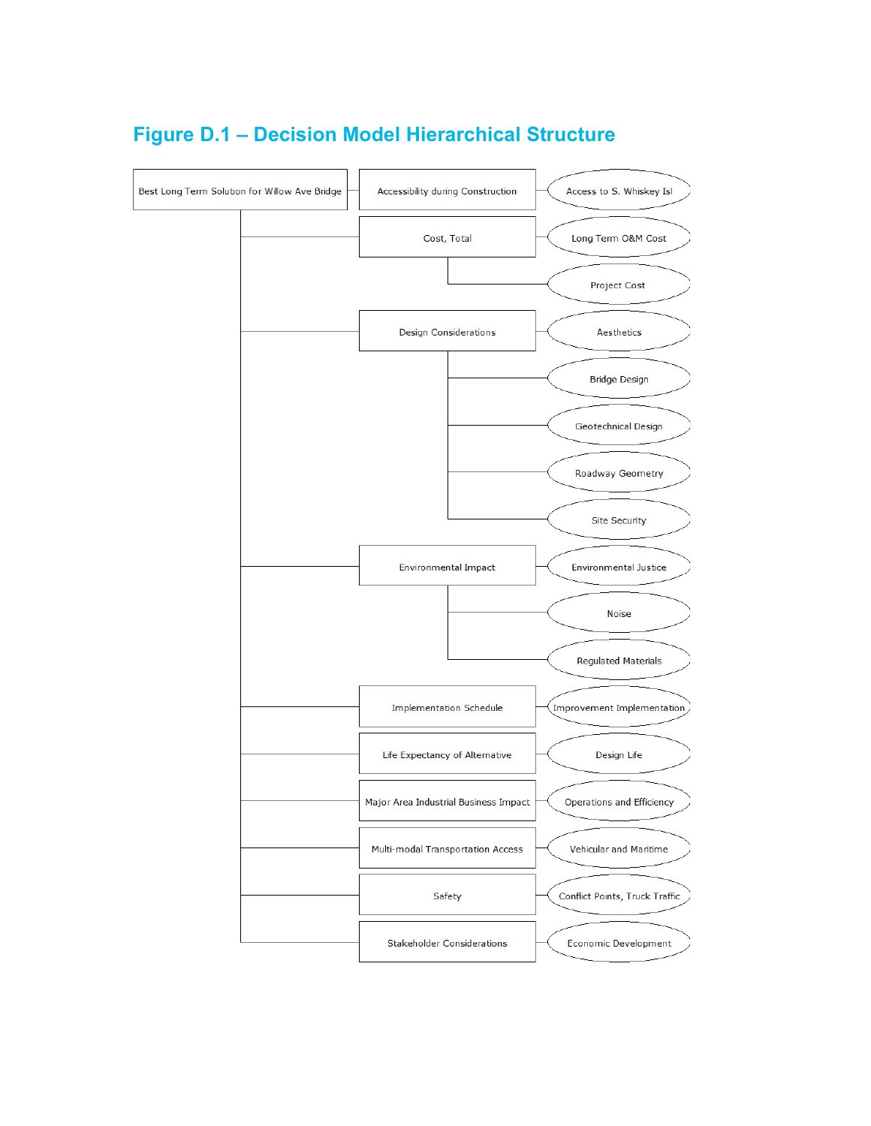

## **Figure D.1 – Decision Model Hierarchical Structure**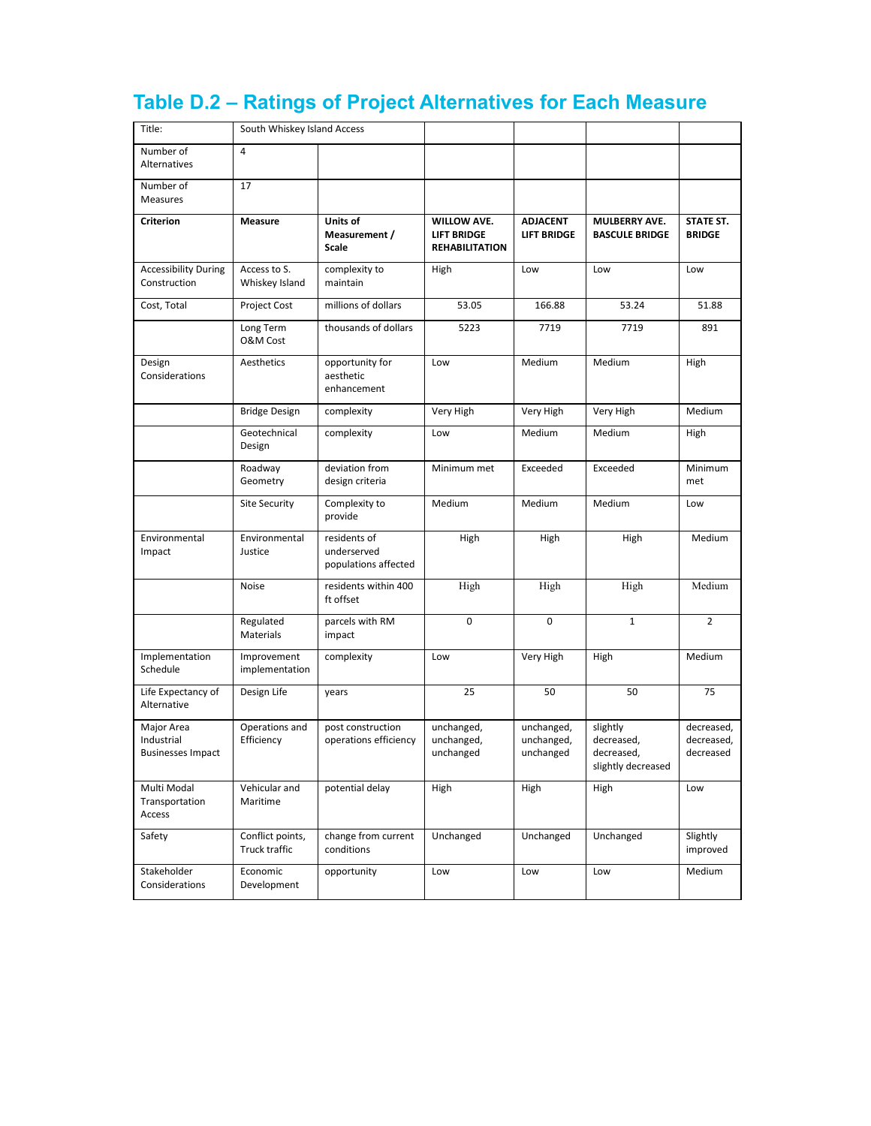| Title:                                               | South Whiskey Island Access       |                                                     |                                                                   |                                       |                                                            |                                       |
|------------------------------------------------------|-----------------------------------|-----------------------------------------------------|-------------------------------------------------------------------|---------------------------------------|------------------------------------------------------------|---------------------------------------|
| Number of<br>Alternatives                            | 4                                 |                                                     |                                                                   |                                       |                                                            |                                       |
| Number of<br>Measures                                | 17                                |                                                     |                                                                   |                                       |                                                            |                                       |
| <b>Criterion</b>                                     | Measure                           | Units of<br>Measurement /<br><b>Scale</b>           | <b>WILLOW AVE.</b><br><b>LIFT BRIDGE</b><br><b>REHABILITATION</b> | <b>ADJACENT</b><br><b>LIFT BRIDGE</b> | <b>MULBERRY AVE.</b><br><b>BASCULE BRIDGE</b>              | STATE ST.<br><b>BRIDGE</b>            |
| <b>Accessibility During</b><br>Construction          | Access to S.<br>Whiskey Island    | complexity to<br>maintain                           | High                                                              | Low                                   | Low                                                        | Low                                   |
| Cost, Total                                          | <b>Project Cost</b>               | millions of dollars                                 | 53.05                                                             | 166.88                                | 53.24                                                      | 51.88                                 |
|                                                      | Long Term<br>O&M Cost             | thousands of dollars                                | 5223                                                              | 7719                                  | 7719                                                       | 891                                   |
| Design<br>Considerations                             | Aesthetics                        | opportunity for<br>aesthetic<br>enhancement         | Low                                                               | Medium                                | Medium                                                     | High                                  |
|                                                      | <b>Bridge Design</b>              | complexity                                          | Very High                                                         | Very High                             | Very High                                                  | Medium                                |
|                                                      | Geotechnical<br>Design            | complexity                                          | Low                                                               | Medium                                | Medium                                                     | High                                  |
|                                                      | Roadway<br>Geometry               | deviation from<br>design criteria                   | Minimum met                                                       | Exceeded                              | Exceeded                                                   | Minimum<br>met                        |
|                                                      | Site Security                     | Complexity to<br>provide                            | Medium                                                            | Medium                                | Medium                                                     | Low                                   |
| Environmental<br>Impact                              | Environmental<br>Justice          | residents of<br>underserved<br>populations affected | High                                                              | High                                  | High                                                       | Medium                                |
|                                                      | Noise                             | residents within 400<br>ft offset                   | High                                                              | High                                  | High                                                       | Medium                                |
|                                                      | Regulated<br>Materials            | parcels with RM<br>impact                           | 0                                                                 | 0                                     | $\mathbf{1}$                                               | $\overline{2}$                        |
| Implementation<br>Schedule                           | Improvement<br>implementation     | complexity                                          | Low                                                               | Very High                             | High                                                       | Medium                                |
| Life Expectancy of<br>Alternative                    | Design Life                       | years                                               | 25                                                                | 50                                    | 50                                                         | 75                                    |
| Major Area<br>Industrial<br><b>Businesses Impact</b> | Operations and<br>Efficiency      | post construction<br>operations efficiency          | unchanged,<br>unchanged,<br>unchanged                             | unchanged,<br>unchanged,<br>unchanged | slightly<br>decreased,<br>decreased,<br>slightly decreased | decreased,<br>decreased,<br>decreased |
| Multi Modal<br>Transportation<br>Access              | Vehicular and<br>Maritime         | potential delay                                     | High                                                              | High                                  | High                                                       | Low                                   |
| Safety                                               | Conflict points,<br>Truck traffic | change from current<br>conditions                   | Unchanged                                                         | Unchanged                             | Unchanged                                                  | Slightly<br>improved                  |
| Stakeholder<br>Considerations                        | Economic<br>Development           | opportunity                                         | Low                                                               | Low                                   | Low                                                        | Medium                                |

# **Table D.2 – Ratings of Project Alternatives for Each Measure**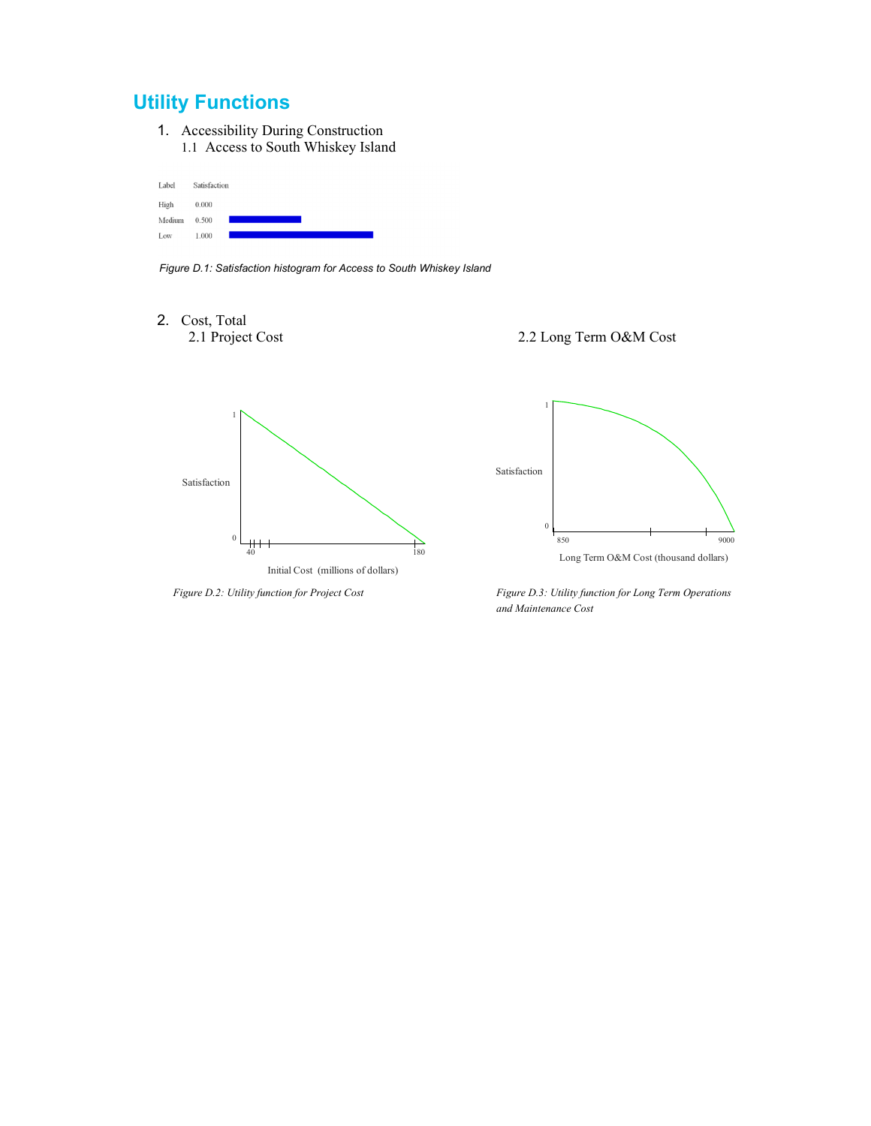### **Utility Functions**

1. Accessibility During Construction 1.1 Access to South Whiskey Island

| Label  | Satisfaction |
|--------|--------------|
| High   | 0.000        |
| Medium | 0.500        |
| Low    | 1.000        |

*Figure D.1: Satisfaction histogram for Access to South Whiskey Island* 

2. Cost, Total







*Figure D.2: Utility function for Project Cost Figure D.3: Utility function for Long Term Operations and Maintenance Cost*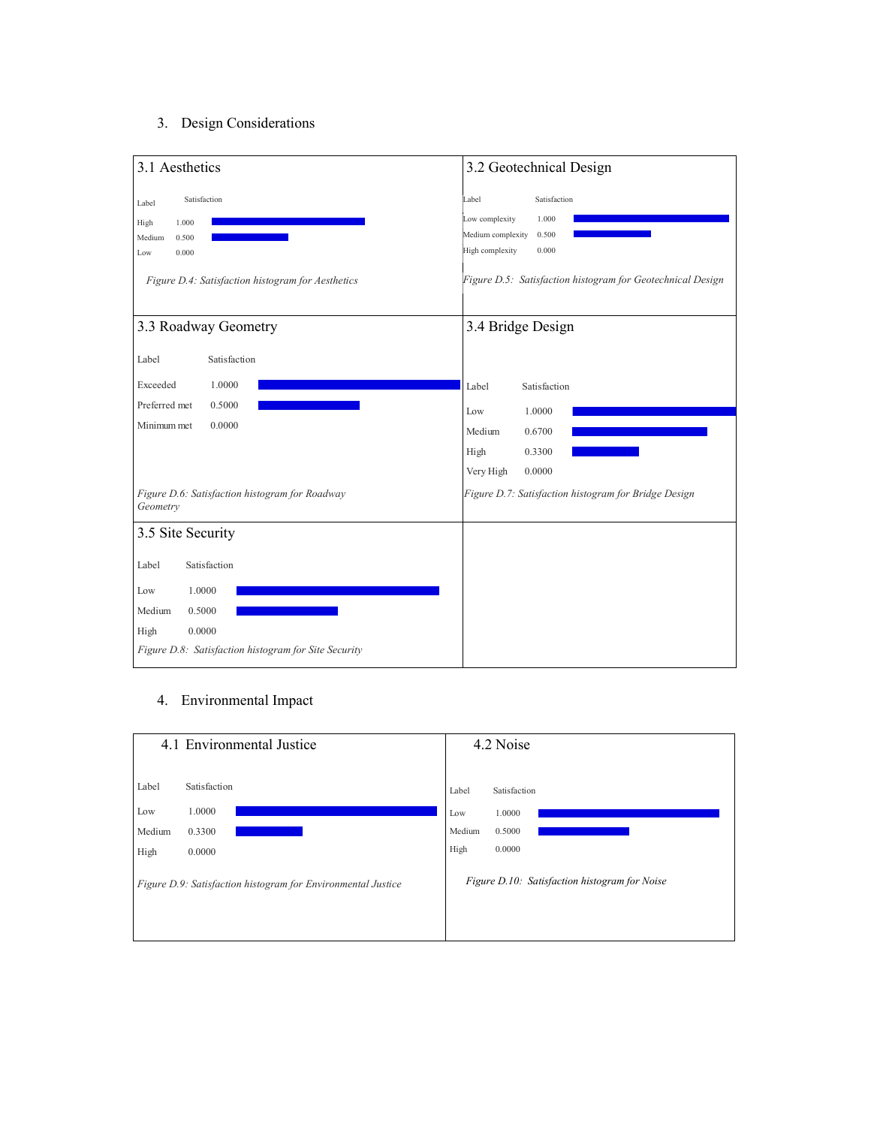#### 3. Design Considerations



#### 4. Environmental Impact

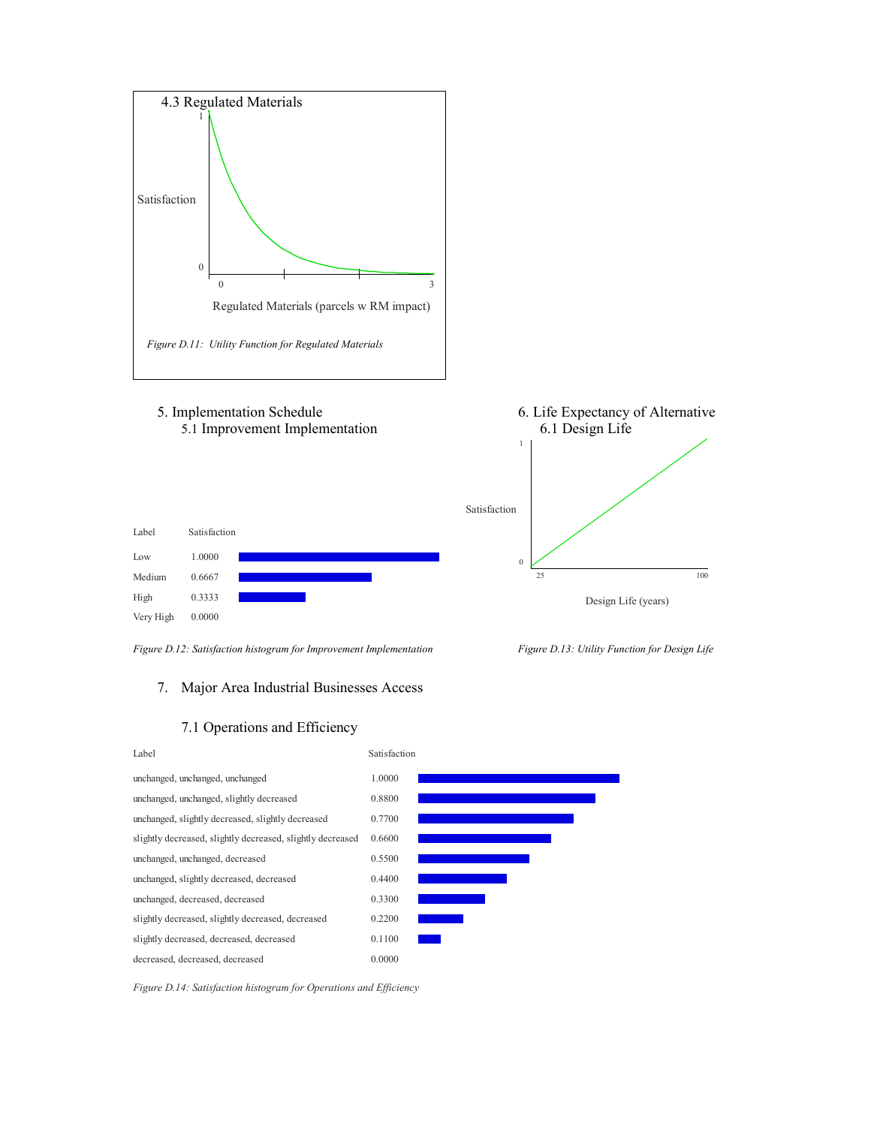

#### 5. Implementation Schedule 6. Life Expectancy of Alternative 5.1 Improvement Implementation 6.1 Design Life







### 7. Major Area Industrial Businesses Access





*Figure D.14: Satisfaction histogram for Operations and Efficiency*